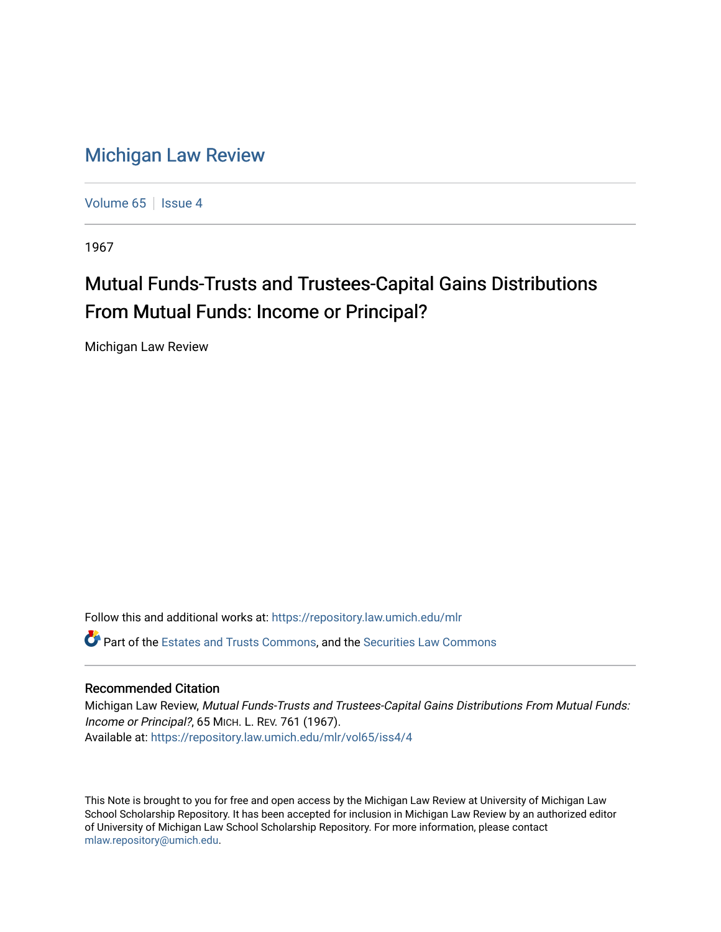## [Michigan Law Review](https://repository.law.umich.edu/mlr)

[Volume 65](https://repository.law.umich.edu/mlr/vol65) | [Issue 4](https://repository.law.umich.edu/mlr/vol65/iss4)

1967

# Mutual Funds-Trusts and Trustees-Capital Gains Distributions From Mutual Funds: Income or Principal?

Michigan Law Review

Follow this and additional works at: [https://repository.law.umich.edu/mlr](https://repository.law.umich.edu/mlr?utm_source=repository.law.umich.edu%2Fmlr%2Fvol65%2Fiss4%2F4&utm_medium=PDF&utm_campaign=PDFCoverPages) 

Part of the [Estates and Trusts Commons,](http://network.bepress.com/hgg/discipline/906?utm_source=repository.law.umich.edu%2Fmlr%2Fvol65%2Fiss4%2F4&utm_medium=PDF&utm_campaign=PDFCoverPages) and the [Securities Law Commons](http://network.bepress.com/hgg/discipline/619?utm_source=repository.law.umich.edu%2Fmlr%2Fvol65%2Fiss4%2F4&utm_medium=PDF&utm_campaign=PDFCoverPages)

### Recommended Citation

Michigan Law Review, Mutual Funds-Trusts and Trustees-Capital Gains Distributions From Mutual Funds: Income or Principal?, 65 MICH. L. REV. 761 (1967). Available at: [https://repository.law.umich.edu/mlr/vol65/iss4/4](https://repository.law.umich.edu/mlr/vol65/iss4/4?utm_source=repository.law.umich.edu%2Fmlr%2Fvol65%2Fiss4%2F4&utm_medium=PDF&utm_campaign=PDFCoverPages)

This Note is brought to you for free and open access by the Michigan Law Review at University of Michigan Law School Scholarship Repository. It has been accepted for inclusion in Michigan Law Review by an authorized editor of University of Michigan Law School Scholarship Repository. For more information, please contact [mlaw.repository@umich.edu.](mailto:mlaw.repository@umich.edu)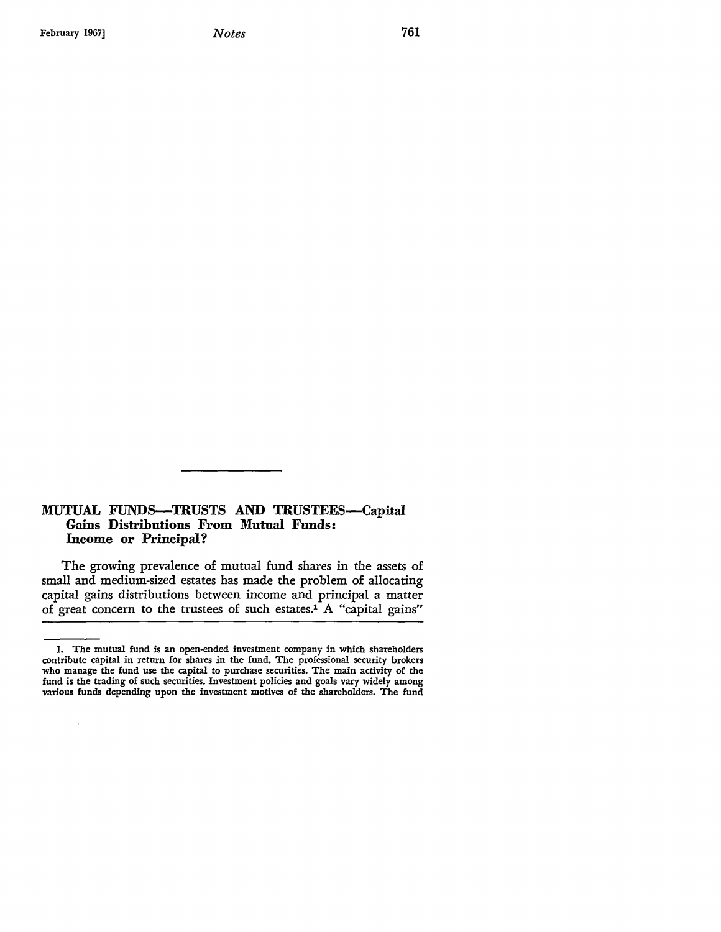$\ddot{\phantom{a}}$ 

### **MUTUAL FUNDS-TRUSTS AND TRUSTEES-Capital Gains Distributions From Mutual Funds: Income or Principal?**

The growing prevalence of mutual fund shares in the assets of small and medium-sized estates has made the problem of allocating capital gains distributions between income and principal a matter of great concern to the trustees of such estates.<sup>1</sup> A "capital gains"

I. The mutual fund is an open-ended investment company in which shareholders contribute capital in return for shares in the fund. The professional security brokers who manage the fund use the capital to purchase securities. The main activity of the fund is the trading of such securities. Investment policies and goals vary widely among various funds depending upon the investment motives of the shareholders. The fund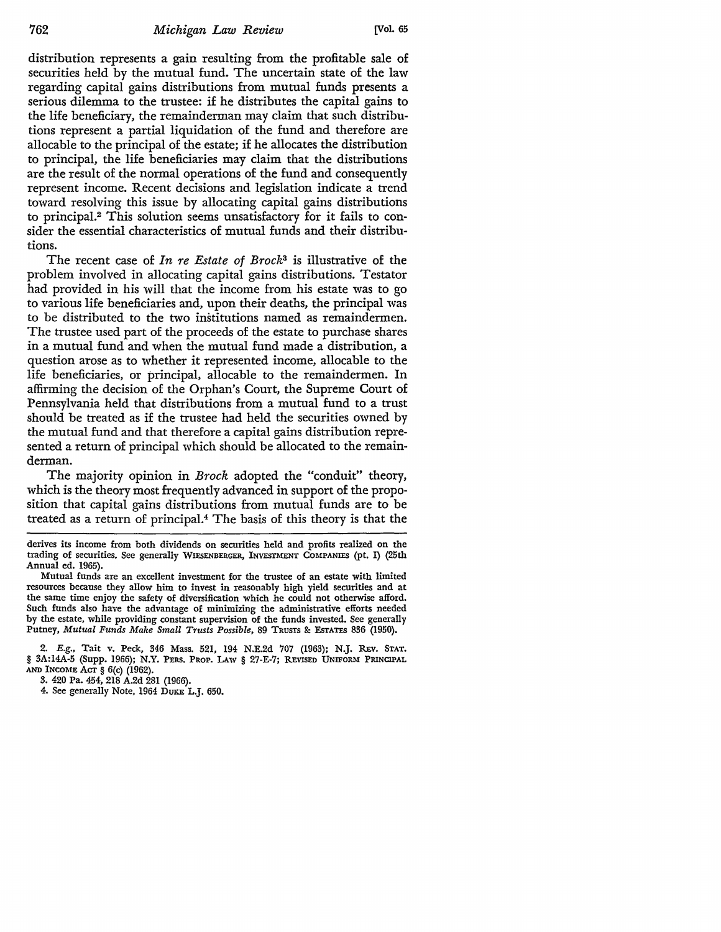distribution represents a gain resulting from the profitable sale of securities held by the mutual fund. The uncertain state of the law regarding capital gains distributions from mutual funds presents a serious dilemma to the trustee: if he distributes the capital gains to the life beneficiary, the remainderman may claim that such distributions represent a partial liquidation of the fund and therefore are allocable to the principal of the estate; if he allocates the distribution to principal, the life beneficiaries may claim that the distributions are the result of the normal operations of the fund and consequently represent income. Recent decisions and legislation indicate a trend toward resolving this issue by allocating capital gains distributions to principal.2 This solution seems unsatisfactory for it fails to consider the essential characteristics of mutual funds and their distributions.

The recent case of *In re Estate of Brock*3 is illustrative of the problem involved in allocating capital gains distributions. Testator had provided in his will that the income from his estate was to go to various life beneficiaries and, upon their deaths, the principal was to be distributed to the two institutions named as remaindermen. The trustee used part of the proceeds of the estate to purchase shares in a mutual fund and when the mutual fund made a distribution, a question arose as to whether it represented income, allocable to the life beneficiaries, or principal, allocable to the remaindermen. In affirming the decision of the Orphan's Court, the Supreme Court of Pennsylvania held that distributions from a mutual fund to a trust should be treated as if the trustee had held the securities owned by the mutual fund and that therefore a capital gains distribution represented a return of principal which should be allocated to the remainderman.

The majority opinion in *Brock* adopted the "conduit" theory, which is the theory most frequently advanced in support of the proposition that capital gains distributions from mutual funds are to be treated as a return of principal.4 The basis of this theory is that the

4. See generally Note, 1964 DUKE L.J. 650.

derives its income from both dividends on securities held and profits realized on the trading of securities. See generally WIFSENBERGER, INVESTMENT COMPANIES (pt. I) (25th Annual ed. 1965).

Mutual funds are an excellent investment for the trustee of an estate with limited resources because they allow him to invest in reasonably high yield securities and at the same time enjoy the safety of diversification which he could not otherwise afford. Such funds also have the advantage of minimizing the administrative efforts needed by the estate, while providing constant supervision of the funds invested. See generally Putney, *Mutual Funds Make Small Trusts Possible*, 89 TRUSTS &: ESTATES 836 (1950).

<sup>2.</sup> E.g., Tait v. Peck, 346 Mass. 521, 194 N.E.2d 707 (1963); N.J. REv. STAT. § 3A:14A-5 (Supp. 1966); N.Y. PERS. PROP. LAW § 27-E-7; REVISED UNIFORM PRINCIPAL AND INCOME ACT § 6(c) (1962).

<sup>3. 420</sup> Pa. 454, 218 A.2d 281 {1966).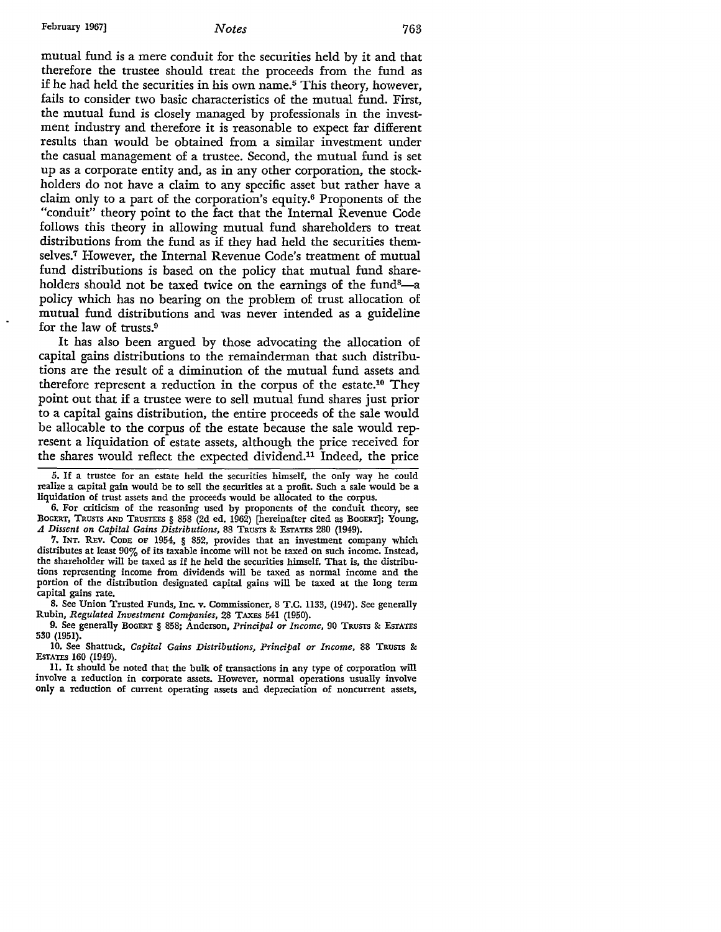mutual fund is a mere conduit for the securities held by it and that therefore the trustee should treat the proceeds from the fund as if he had held the securities in his own name.5 This theory, however, fails to consider two basic characteristics of the mutual fund. First, the mutual fund is closely managed by professionals in the investment industry and therefore it is reasonable to expect far different results than would be obtained from a similar investment under the casual management of a trustee. Second, the mutual fund is set up as a corporate entity and, as in any other corporation, the stockholders do not have a claim to any specific asset but rather have a claim only to a part of the corporation's equity.6 Proponents of the "conduit" theory point to the fact that the Internal Revenue Code follows this theory in allowing mutual fund shareholders to treat distributions from the fund as if they had held the securities themselves.7 However, the Internal Revenue Code's treatment of mutual fund distributions is based on the policy that mutual fund shareholders should not be taxed twice on the earnings of the fund<sup>8</sup>—a policy which has no bearing on the problem of trust allocation of mutual fund distributions and was never intended as a guideline for the law of trusts.<sup>9</sup>

It has also been argued by those advocating the allocation of capital gains distributions to the remainderman that such distributions are the result of a diminution of the mutual fund assets and therefore represent a reduction in the corpus of the estate.10 They point out that if a trustee were to sell mutual fund shares just prior to a capital gains distribution, the entire proceeds of the sale would be allocable to the corpus of the estate because the sale would represent a liquidation of estate assets, although the price received for the shares would reflect the expected dividend.11 Indeed, the price

5. If a trustee for an estate held the securities himself, the only way he could realize a capital gain would be to sell the securities at a profit. Such a sale would be a liquidation of trust assets and the proceeds would be allocated to the corpus.

6. For criticism of the reasoning used by proponents of the conduit theory, see BOGERT, TRUSTS AND TRUSTEES § 858 (2d ed. 1962) [hereinafter cited as BOGERT]; Young, *A Dissent on Capital Gains Distributions,* 88 TRUSTS &: EsTATES 280 (1949).

7. INT. REv. CODE OF 1954, § 852, provides that an investment company which distributes at least 90% of its taxable income will not be taxed on such income. Instead, the shareholder will be taxed as if he held the securities himself. That is, the distributions representing income from dividends will be taxed as normal income and the portion of the distribution designated capital gains will be taxed at the long term capital gains rate.

8. See Union Trusted Funds, Inc. v. Commissioner, 8 T.C. 1133, (1947). See generally Rubin, *Regulated Investment Companies,* 28 TAXES 541 (1950).

9. See generally BOGERT § 858; Anderson, *Principal or Income,* 90 TRUSTS &: EsrATES 530 (1951).

10. See Shattuck, *Capital Gains Distributions, Principal or Income,* 88 TRUSTS &: ESTATES 160 (1949).

11. It should be noted that the bulk of transactions in any type of corporation will involve a reduction in corporate assets. However, normal operations usually involve only a reduction of current operating assets and depreciation of noncurrent assets,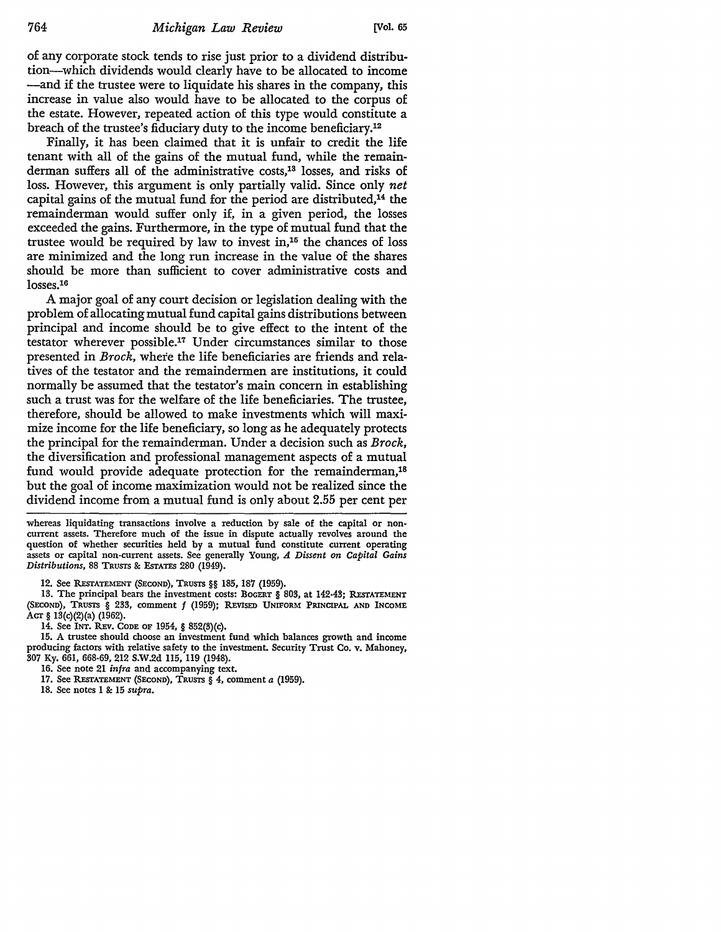of any corporate stock tends to rise just prior to a dividend distribution-which dividends would clearly have to be allocated to income -and if the trustee were to liquidate his shares in the company, this increase in value also would have to be allocated to the corpus of the estate. However, repeated action of this type would constitute a breach of the trustee's fiduciary duty to the income beneficiary.12

Finally, it has been claimed that it is unfair to credit the life tenant with all of the gains of the mutual fund, while the remainderman suffers all of the administrative costs,13 losses, and risks of loss. However, this argument is only partially valid. Since only *net*  capital gains of the mutual fund for the period are distributed,14 the remainderman would suffer only if, in a given period, the losses exceeded the gains. Furthermore, in the type of mutual fund that the trustee would be required by law to invest  $in,15$  the chances of loss are minimized and the long run increase in the value of the shares should be more than sufficient to cover administrative costs and losses.<sup>16</sup>

A major goal of any court decision or legislation dealing with the problem of allocating mutual fund capital gains distributions between principal and income should be to give effect to the intent of the testator wherever possible.17 Under circumstances similar to those presented in *Brock,* where the life beneficiaries are friends and relatives of the testator and the remaindermen are institutions, it could normally be assumed that the testator's main concern in establishing such a trust was for the welfare of the life beneficiaries. The trustee, therefore, should be allowed to make investments which will maximize income for the life beneficiary, so long as he adequately protects the principal for the remainderman. Under a decision such as *Brock,*  the diversification and professional management aspects of a mutual fund would provide adequate protection for the remainderman,<sup>18</sup> but the goal of income maximization would not be realized since the dividend income from a mutual fund is only about 2.55 per cent per

whereas liquidating transactions involve a reduction by sale of the capital or noncurrent assets. Therefore much of the issue in dispute actually revolves around the question of whether securities held by a mutual fund constitute current operating assets or capital non-current assets. See generally Young, *A Dissent on Capital Gains Distributions,* 88 TRUSTS & ESTATES 280 (1949).

12. See RESTATEMENT (SECOND), TRUSTS §§ 185, 187 (1959).

13. The principal bears the investment costs: BOGERT § 803, at 142-43; RESTATEMENT (SECOND), TRUSTS § 233, comment f (1959); REVISED UNIFORM PRINCIPAL AND INCOME Acr § 13(c)(2)(a) (1962).

15. A trustee should choose an investment fund which balances growth and income producing factors with relative safety to the investment. Security Trust Co. v. Mahoney, 307 Ky. 661, 668-69, 212 S.W .2d 115, 119 (1948).

16. See note 21 *infra* and accompanying text.

17. See RESTATEMENT (SECOND), TRUSTS§ 4, comment *a* (1959).

18. See notes 1 & 15 *supra.* 

<sup>14.</sup> See INT. REV. CODE OF 1954, § 852(3)(c).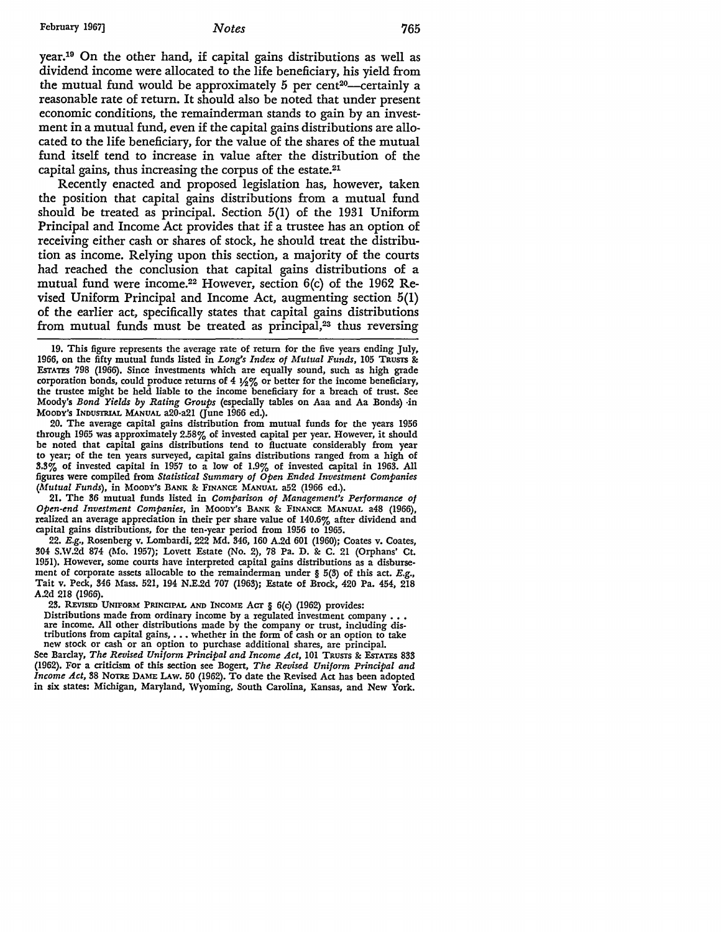year.19 On the other hand, if capital gains distributions as well as dividend income were allocated to the life beneficiary, his yield from the mutual fund would be approximately 5 per cent<sup>20</sup>—certainly a reasonable rate of return. It should also be noted that under present economic conditions, the remainderman stands to gain by an investment in a mutual fund, even if the capital gains distributions are allocated to the life beneficiary, for the value of the shares of the mutual fund itself tend to increase in value after the distribution of the capital gains, thus increasing the corpus of the estate.21

Recently enacted and proposed legislation has, however, taken the position that capital gains distributions from a mutual fund should be treated as principal. Section 5(1) of the 1931 Uniform Principal and Income Act provides that if a trustee has an option of receiving either cash or shares of stock, he should treat the distribution as income. Relying upon this section, a majority of the courts had reached the conclusion that capital gains distributions of a mutual fund were income.<sup>22</sup> However, section 6(c) of the 1962 Revised Uniform Principal and Income *Act,* augmenting section 5(1) of the earlier act, specifically states that capital gains distributions from mutual funds must be treated as principal,<sup>23</sup> thus reversing

19. This figure represents the average rate of return for the five years ending July, 1966, on the fifty mutual funds listed in *Lonr:s Index of Mutual Funds,* 105 TRusrs 8: EsTATES 798 (1966). Since investments which are equally sound, such as high grade corporation bonds, could produce returns of  $4\frac{1}{2}\%$  or better for the income beneficiary, the trustee might be held liable to the income beneficiary for a breach of trust. See Moody's *Bond Yields* by *Rating Groups* (especially tables on Aaa and Aa Bonds) -in MOODY's INDUSTRIAL MANUAL a20-a21 (June 1966 ed.).

20. The average capital gains distribution from mutual funds for the years 1956 through 1965 was approximately 2.58% of invested capital per year. However, it should be noted that capital gains distributions tend to fluctuate considerably from year to year; of the ten years surveyed, capital gains distributions ranged from a high of **3,3%** of invested capital in 1957 to a low of 1.9% of invested capital in 1963. All figures were compiled from *Statistical Summary of Open Ended Investment Companies (Mutual Funds),* in MOODY'S BANK 8: FINANCE MANUAL a52 (1966 ed.).

21. The 36 mutual funds listed in *Comparison of Management's Performance of Open-end Investment Companies,* in MOODY'S BANK 8: FINANCE MANUAL a48 (1966), realized an average appreciation in their per share value of 140.6% after dividend and capital gains distributions, for the ten-year period from 1956 to 1965.

22. *E.g.,* Rosenberg v. Lombardi, 222 Md. 346, 160 A.2d 601 (1960); Coates v. Coates, 304 S.W.2d 874 (Mo. 1957); Lovett Estate (No. 2), 78 Pa. D. 8: C. 21 (Orphans' Ct. 1951), However, some courts have interpreted capital gains distributions as a disbursement of corporate assets allocable to the remainderman under § 5(3) of this act. *E.g.,*  Tait v. Peck, 346 Mass. 521, 194 N.E.2d 707 (1963); Estate of Brock, 420 Pa. 454, 218 A.2d 218 (1966).

23. REVISED UNIFORM PRINCIPAL AND INCOME ACT § 6(c) (1962) provides:

Distributions made from ordinary income by a regulated investment company  $\cdots$  are income. All other distributions made by the company or trust, including distributions from capital gains, ••• whether in the form of cash or an option to take new stock or cash or an option to purchase additional shares, are principal.

See Barclay, *The Revised Uniform Principal and Income Act*, 101 TRUSTS & ESTATES 833 (1962). For a criticism of this section see Bogert, *The Revised Uniform Principal and Income Act*, 38 NOTRE DAME LAW. 50 (1962). To date the Revised Act has been adopted in six states: Michigan, Maryland, Wyoming, South Carolina, Kansas, and New York.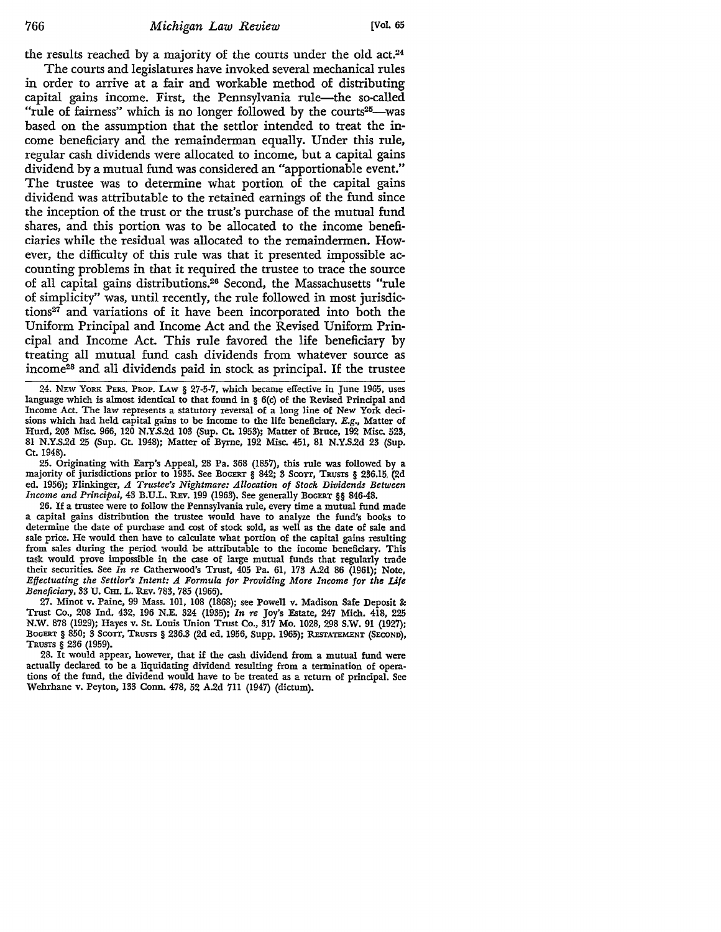the results reached by a majority of the courts under the old act.<sup>24</sup>

The courts and legislatures have invoked several mechanical rules in order to arrive at a fair and workable method of distributing capital gains income. First, the Pennsylvania rule-the so-called "rule of fairness" which is no longer followed by the courts<sup>25</sup>-was based on the assumption that the settlor intended to treat the income beneficiary and the remainderman equally. Under this rule, regular cash dividends were allocated to income, but a capital gains dividend by a mutual fund was considered an "apportionable event." The trustee was to determine what portion of the capital gains dividend was attributable to the retained earnings of the fund since the inception of the trust or the trust's purchase of the mutual fund shares, and this portion was to be allocated to the income beneficiaries while the residual was allocated to the remaindermen. However, the difficulty of this rule was that it presented impossible accounting problems in that it required the trustee to trace the source of all capital gains distributions.26 Second, the Massachusetts "rule of simplicity" was, until recently, the rule followed in most jurisdictions27 and variations of it have been incorporated into both the Uniform Principal and Income Act and the Revised Uniform Principal and Income Act. This rule favored the life beneficiary by treating all mutual fund cash dividends from whatever source as income28 and all dividends paid in stock as principal. If the trustee

25. Originating with Earp's Appeal, 28 Pa. 368 (1857), this rule was followed by a majority of jurisdictions prior to 1935. See BOGERT § 842; 3 SCOTT, TRUSTS § 236.15, (2d ed. 1956); Flinkinger, *A Trustee's Nightmare: Allocation of Stock Dividends Between Income and Principal,* 43 B.UL. REv. 199 (1963). See generally BoGERT §§ 846-48.

26. If a trustee were to follow the Pennsylvania rule, every time a mutual fund made a capital gains distribution the trustee would have to analyze the fund's books to determine the date of purchase and cost of stock sold, as well as the date of sale and sale price. He would then have to calculate what portion of the capital gains resulting from sales during the period would be attributable to the income beneficiary. This task would prove impossible in the case of large mutual funds that regularly trade their securities. See *In re* Catherwood's Trust, 405 Pa. 61, 173 A.2d 86 (1961): Note, *Effectuating the Settlor's Intent: A Formula for Providing More Income for the Life Beneficiary,* 33 U. Car. L. REv. 783, 785 (1966).

27. Minot v. Paine, 99 Mass. 101, 108 (1868); see Powell v. Madison Safe Deposit &: Trust Co., 208 Ind. 432, 196 N.E. 324 (1935); *In re* Joy's Estate, 247 Mich. 418, 225 N.W. 878 (1929); Hayes v. St. Louis Union Trust Co., 317 Mo. 1028, 298 S.W. 91 (1927); BOGERT § 850; 3 SCOTT, TRUSTS § 236.3 (2d ed. 1956, Supp. 1965); REsTATEMENT (SECOND), TRUSTS § 236 (1959).

28. It would appear, however, that if the cash dividend from a mutual fund were actually declared to be a liquidating dividend resulting from a termination of operations of the fund, the dividend would have to be treated as a return of principal. See Wehrhane v. Peyton, 133 Conn. 478, 52 A.2d 711 (1947) (dictum).

<sup>24.</sup> NEW YoRK PERS. PROP. LAw § 27-5-7, which became effective in June 1965, uses language which is almost identical to that found in § 6(c) of the Revised Principal and Income Act. The law represents a statutory reversal of a long line of New York decisions which had held capital gains to be income to the life beneficiary. *E.g.,* Matter of Hurd, 203 Misc. 966, 120 N.Y.S.2d 103 (Sup. Ct. 1953); Matter of Bruce, 192 Misc. 523, 81 N.Y.S.2d 25 (Sup. Ct. 1948); Matter of Byrne, 192 Misc. 451, 81 N.Y.S.2d 23 (Sup. Ct. 1948)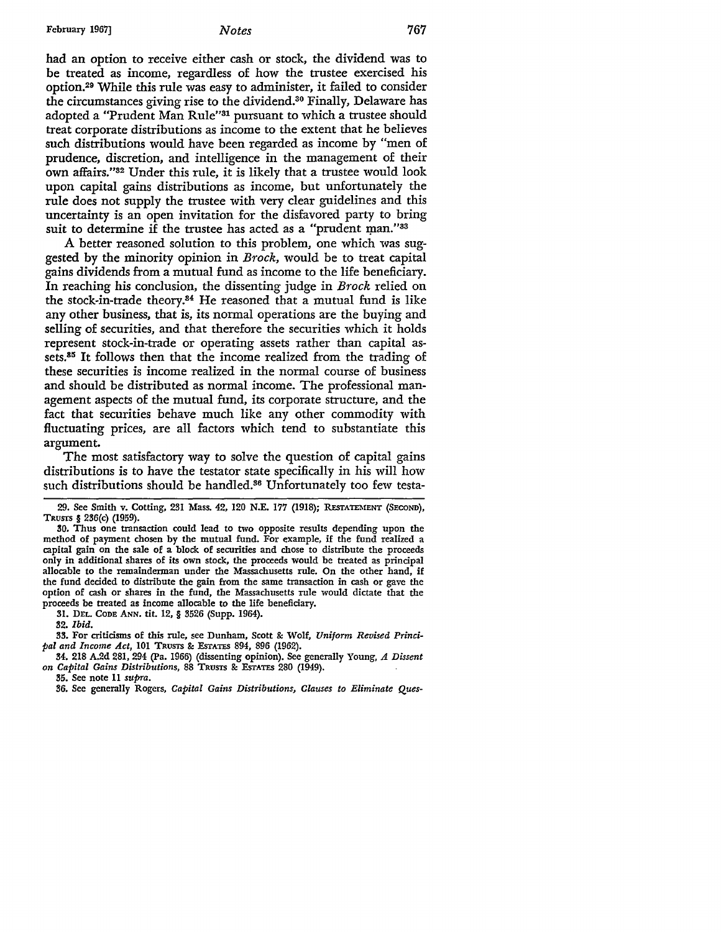February 1967] *Notes* 767

had an option to receive either cash or stock, the dividend was to be treated as income, regardless of how the trustee exercised his option.29 While this rule was easy to administer, it failed to consider the circumstances giving rise to the dividend.3° Finally, Delaware has adopted a "Prudent Man Rule"31 pursuant to which a trustee should treat corporate distributions as income to the extent that he believes such distributions would have been regarded as income by "men of prudence, discretion, and intelligence in the management of their own affairs."82 Under this rule, it is likely that a trustee would look upon capital gains distributions as income, but unfortunately the rule does not supply the trustee with very clear guidelines and this uncertainty is an open invitation for the disfavored party to bring suit to determine if the trustee has acted as a "prudent man."<sup>33</sup>

A better reasoned solution to this problem, one which was suggested by the minority opinion in *Brock,* would be to treat capital gains dividends from a mutual fund as income to the life beneficiary. In reaching his conclusion, the dissenting judge in *Brock* relied on the stock-in-trade theory.84 He reasoned that a mutual fund is like any other business, that is, its normal operations are the buying and selling of securities, and that therefore the securities which it holds represent stock-in-trade or operating assets rather than capital assets.<sup>85</sup> It follows then that the income realized from the trading of these securities is income realized in the normal course of business and should be distributed as normal income. The professional management aspects of the mutual fund, its corporate structure, and the fact that securities behave much like any other commodity with fluctuating prices, are all factors which tend to substantiate this argument.

The most satisfactory way to solve the question of capital gains distributions is to have the testator state specifically in his will how such distributions should be handled.<sup>36</sup> Unfortunately too few testa-

31. DEL. CoDE ANN. tit. 12, § 3526 (Supp. 1964).

!12. *Ibid.* 

33. For criticisms of this rule, see Dunham, Scott & Wolf, *Uniform Revised Principal and Income Act,* 101 TRUSTS &: EsTATES 894, 896 (1962).

34. 218 A.2d 281, 294 (Pa. 1966) (dissenting opinion). See generally Young, *A Dissent on Capital Gains Distributions,* 88 TRUSTS &: EsTATES 280 (1949).

35. See note 11 *supra.* 

36. See generally Rogers, *Capital Gains Distributions, Clauses to Eliminate Ques-*

<sup>29.</sup> See Smith v. Catting, 231 Mass. 42, 120 N.E. 177 (1918); R.EsTATEMENT {SECOND), TRUSTS § 236(c) (1959).

<sup>!10.</sup> Thus one transaction could lead to two opposite results depending upon the method of payment chosen by the mutual fund. For example, if the fund realized a capital gain on the sale of a block of securities and chose to distribute the proceeds only in additional shares of its own stock, the proceeds would be treated as principal allocable to the remainderman under the Massachusetts rule. On the other hand, if the fund decided to distribute the gain from the same transaction in cash or gave the option of cash or shares in the fund, the Massachusetts rule would dictate that the proceeds be treated as income allocable to the life beneficiary.